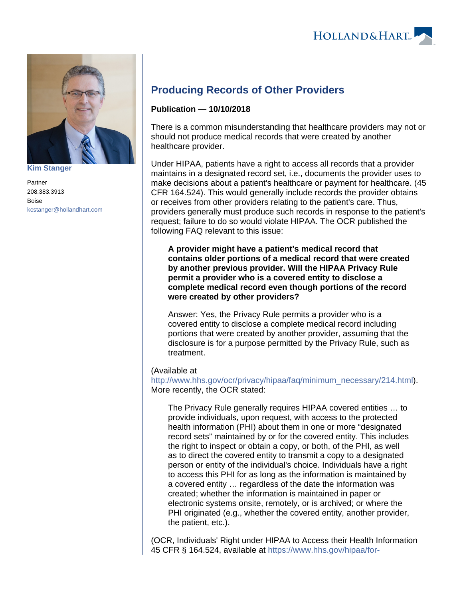



**[Kim Stanger](https://www.hollandhart.com/15954)**

Partner 208.383.3913 Boise [kcstanger@hollandhart.com](mailto:kcstanger@hollandhart.com)

## **Producing Records of Other Providers**

## **Publication — 10/10/2018**

There is a common misunderstanding that healthcare providers may not or should not produce medical records that were created by another healthcare provider.

Under HIPAA, patients have a right to access all records that a provider maintains in a designated record set, i.e., documents the provider uses to make decisions about a patient's healthcare or payment for healthcare. (45 CFR 164.524). This would generally include records the provider obtains or receives from other providers relating to the patient's care. Thus, providers generally must produce such records in response to the patient's request; failure to do so would violate HIPAA. The OCR published the following FAQ relevant to this issue:

**A provider might have a patient's medical record that contains older portions of a medical record that were created by another previous provider. Will the HIPAA Privacy Rule permit a provider who is a covered entity to disclose a complete medical record even though portions of the record were created by other providers?**

Answer: Yes, the Privacy Rule permits a provider who is a covered entity to disclose a complete medical record including portions that were created by another provider, assuming that the disclosure is for a purpose permitted by the Privacy Rule, such as treatment.

## (Available at

[http://www.hhs.gov/ocr/privacy/hipaa/faq/minimum\\_necessary/214.html](http://www.hhs.gov/ocr/privacy/hipaa/faq/minimum_necessary/214.html)). More recently, the OCR stated:

The Privacy Rule generally requires HIPAA covered entities … to provide individuals, upon request, with access to the protected health information (PHI) about them in one or more "designated record sets" maintained by or for the covered entity. This includes the right to inspect or obtain a copy, or both, of the PHI, as well as to direct the covered entity to transmit a copy to a designated person or entity of the individual's choice. Individuals have a right to access this PHI for as long as the information is maintained by a covered entity … regardless of the date the information was created; whether the information is maintained in paper or electronic systems onsite, remotely, or is archived; or where the PHI originated (e.g., whether the covered entity, another provider, the patient, etc.).

(OCR, Individuals' Right under HIPAA to Access their Health Information 45 CFR § 164.524, available at [https://www.hhs.gov/hipaa/for-](https://www.hhs.gov/hipaa/for-professionals/privacy/guidance/access/index.html)